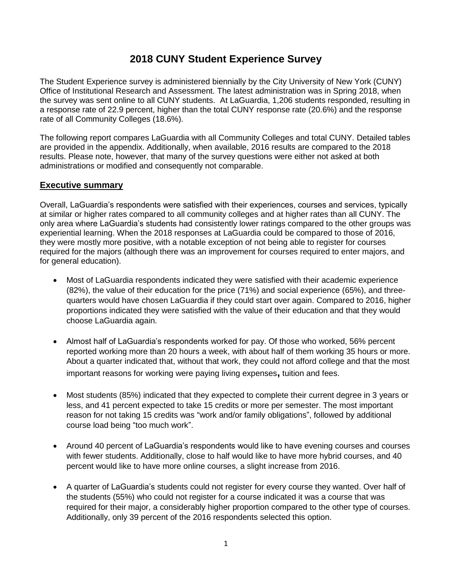# **2018 CUNY Student Experience Survey**

The Student Experience survey is administered biennially by the City University of New York (CUNY) Office of Institutional Research and Assessment. The latest administration was in Spring 2018, when the survey was sent online to all CUNY students. At LaGuardia, 1,206 students responded, resulting in a response rate of 22.9 percent, higher than the total CUNY response rate (20.6%) and the response rate of all Community Colleges (18.6%).

The following report compares LaGuardia with all Community Colleges and total CUNY. Detailed tables are provided in the appendix. Additionally, when available, 2016 results are compared to the 2018 results. Please note, however, that many of the survey questions were either not asked at both administrations or modified and consequently not comparable.

# **Executive summary**

Overall, LaGuardia's respondents were satisfied with their experiences, courses and services, typically at similar or higher rates compared to all community colleges and at higher rates than all CUNY. The only area where LaGuardia's students had consistently lower ratings compared to the other groups was experiential learning. When the 2018 responses at LaGuardia could be compared to those of 2016, they were mostly more positive, with a notable exception of not being able to register for courses required for the majors (although there was an improvement for courses required to enter majors, and for general education).

- Most of LaGuardia respondents indicated they were satisfied with their academic experience (82%), the value of their education for the price (71%) and social experience (65%), and threequarters would have chosen LaGuardia if they could start over again. Compared to 2016, higher proportions indicated they were satisfied with the value of their education and that they would choose LaGuardia again.
- Almost half of LaGuardia's respondents worked for pay. Of those who worked, 56% percent reported working more than 20 hours a week, with about half of them working 35 hours or more. About a quarter indicated that, without that work, they could not afford college and that the most important reasons for working were paying living expenses**,** tuition and fees.
- Most students (85%) indicated that they expected to complete their current degree in 3 years or less, and 41 percent expected to take 15 credits or more per semester. The most important reason for not taking 15 credits was "work and/or family obligations", followed by additional course load being "too much work".
- Around 40 percent of LaGuardia's respondents would like to have evening courses and courses with fewer students. Additionally, close to half would like to have more hybrid courses, and 40 percent would like to have more online courses, a slight increase from 2016.
- A quarter of LaGuardia's students could not register for every course they wanted. Over half of the students (55%) who could not register for a course indicated it was a course that was required for their major, a considerably higher proportion compared to the other type of courses. Additionally, only 39 percent of the 2016 respondents selected this option.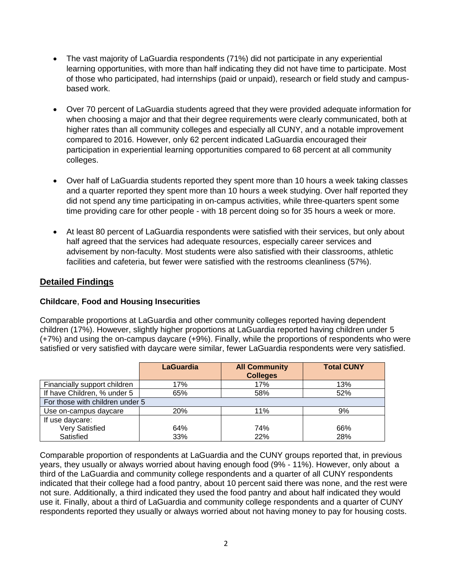- The vast majority of LaGuardia respondents (71%) did not participate in any experiential learning opportunities, with more than half indicating they did not have time to participate. Most of those who participated, had internships (paid or unpaid), research or field study and campusbased work.
- Over 70 percent of LaGuardia students agreed that they were provided adequate information for when choosing a major and that their degree requirements were clearly communicated, both at higher rates than all community colleges and especially all CUNY, and a notable improvement compared to 2016. However, only 62 percent indicated LaGuardia encouraged their participation in experiential learning opportunities compared to 68 percent at all community colleges.
- Over half of LaGuardia students reported they spent more than 10 hours a week taking classes and a quarter reported they spent more than 10 hours a week studying. Over half reported they did not spend any time participating in on-campus activities, while three-quarters spent some time providing care for other people - with 18 percent doing so for 35 hours a week or more.
- At least 80 percent of LaGuardia respondents were satisfied with their services, but only about half agreed that the services had adequate resources, especially career services and advisement by non-faculty. Most students were also satisfied with their classrooms, athletic facilities and cafeteria, but fewer were satisfied with the restrooms cleanliness (57%).

# **Detailed Findings**

# **Childcare**, **Food and Housing Insecurities**

Comparable proportions at LaGuardia and other community colleges reported having dependent children (17%). However, slightly higher proportions at LaGuardia reported having children under 5 (+7%) and using the on-campus daycare (+9%). Finally, while the proportions of respondents who were satisfied or very satisfied with daycare were similar, fewer LaGuardia respondents were very satisfied.

|                                 | <b>LaGuardia</b> | <b>All Community</b><br><b>Colleges</b> | <b>Total CUNY</b> |
|---------------------------------|------------------|-----------------------------------------|-------------------|
| Financially support children    | 17%              | 17%                                     | 13%               |
| If have Children, % under 5     | 65%              | 58%                                     | 52%               |
| For those with children under 5 |                  |                                         |                   |
| Use on-campus daycare           | <b>20%</b>       | 11%                                     | 9%                |
| If use daycare:                 |                  |                                         |                   |
| <b>Very Satisfied</b>           | 64%              | 74%                                     | 66%               |
| Satisfied                       | 33%              | 22%                                     | 28%               |

Comparable proportion of respondents at LaGuardia and the CUNY groups reported that, in previous years, they usually or always worried about having enough food (9% - 11%). However, only about a third of the LaGuardia and community college respondents and a quarter of all CUNY respondents indicated that their college had a food pantry, about 10 percent said there was none, and the rest were not sure. Additionally, a third indicated they used the food pantry and about half indicated they would use it. Finally, about a third of LaGuardia and community college respondents and a quarter of CUNY respondents reported they usually or always worried about not having money to pay for housing costs.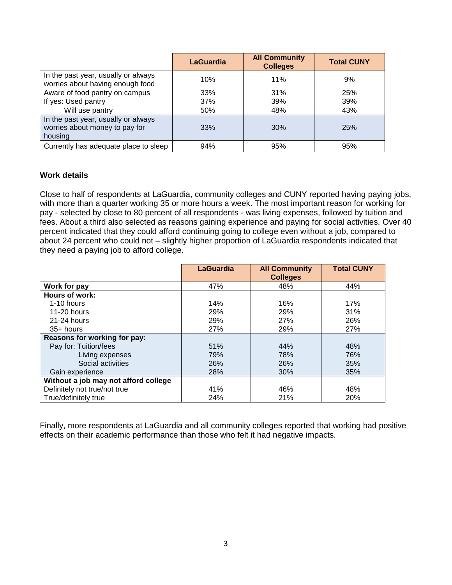|                                                                                  | LaGuardia | <b>All Community</b><br><b>Colleges</b> | <b>Total CUNY</b> |
|----------------------------------------------------------------------------------|-----------|-----------------------------------------|-------------------|
| In the past year, usually or always<br>worries about having enough food          | 10%       | 11%                                     | 9%                |
| Aware of food pantry on campus                                                   | 33%       | 31%                                     | 25%               |
| If yes: Used pantry                                                              | 37%       | 39%                                     | 39%               |
| Will use pantry                                                                  | 50%       | 48%                                     | 43%               |
| In the past year, usually or always<br>worries about money to pay for<br>housing | 33%       | 30%                                     | <b>25%</b>        |
| Currently has adequate place to sleep                                            | 94%       | 95%                                     | 95%               |

### **Work details**

Close to half of respondents at LaGuardia, community colleges and CUNY reported having paying jobs, with more than a quarter working 35 or more hours a week. The most important reason for working for pay - selected by close to 80 percent of all respondents - was living expenses, followed by tuition and fees. About a third also selected as reasons gaining experience and paying for social activities. Over 40 percent indicated that they could afford continuing going to college even without a job, compared to about 24 percent who could not – slightly higher proportion of LaGuardia respondents indicated that they need a paying job to afford college.

|                                      | <b>LaGuardia</b> | <b>All Community</b><br><b>Colleges</b> | <b>Total CUNY</b> |
|--------------------------------------|------------------|-----------------------------------------|-------------------|
| Work for pay                         | 47%              | 48%                                     | 44%               |
| Hours of work:                       |                  |                                         |                   |
| 1-10 hours                           | 14%              | 16%                                     | 17%               |
| 11-20 hours                          | 29%              | 29%                                     | 31%               |
| $21-24$ hours                        | 29%              | 27%                                     | 26%               |
| $35+$ hours                          | 27%              | 29%                                     | 27%               |
| Reasons for working for pay:         |                  |                                         |                   |
| Pay for: Tuition/fees                | 51%              | 44%                                     | 48%               |
| Living expenses                      | 79%              | 78%                                     | 76%               |
| Social activities                    | 26%              | 26%                                     | 35%               |
| Gain experience                      | 28%              | 30%                                     | 35%               |
| Without a job may not afford college |                  |                                         |                   |
| Definitely not true/not true         | 41%              | 46%                                     | 48%               |
| True/definitely true                 | 24%              | 21%                                     | 20%               |

Finally, more respondents at LaGuardia and all community colleges reported that working had positive effects on their academic performance than those who felt it had negative impacts.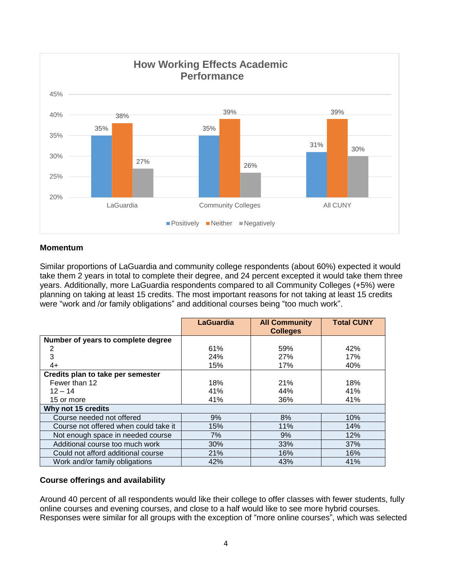

### **Momentum**

Similar proportions of LaGuardia and community college respondents (about 60%) expected it would take them 2 years in total to complete their degree, and 24 percent excepted it would take them three years. Additionally, more LaGuardia respondents compared to all Community Colleges (+5%) were planning on taking at least 15 credits. The most important reasons for not taking at least 15 credits were "work and /or family obligations" and additional courses being "too much work".

|                                       | <b>LaGuardia</b> | <b>All Community</b><br><b>Colleges</b> | <b>Total CUNY</b> |
|---------------------------------------|------------------|-----------------------------------------|-------------------|
| Number of years to complete degree    |                  |                                         |                   |
| 2                                     | 61%              | 59%                                     | 42%               |
| 3                                     | 24%              | 27%                                     | 17%               |
| $4+$                                  | 15%              | 17%                                     | 40%               |
| Credits plan to take per semester     |                  |                                         |                   |
| Fewer than 12                         | 18%              | 21%                                     | 18%               |
| $12 - 14$                             | 41%              | 44%                                     | 41%               |
| 15 or more                            | 41%              | 36%                                     | 41%               |
| Why not 15 credits                    |                  |                                         |                   |
| Course needed not offered             | 9%               | 8%                                      | 10%               |
| Course not offered when could take it | 15%              | 11%                                     | 14%               |
| Not enough space in needed course     | 7%               | 9%                                      | 12%               |
| Additional course too much work       | 30%              | 33%                                     | 37%               |
| Could not afford additional course    | 21%              | 16%                                     | 16%               |
| Work and/or family obligations        | 42%              | 43%                                     | 41%               |

### **Course offerings and availability**

Around 40 percent of all respondents would like their college to offer classes with fewer students, fully online courses and evening courses, and close to a half would like to see more hybrid courses. Responses were similar for all groups with the exception of "more online courses", which was selected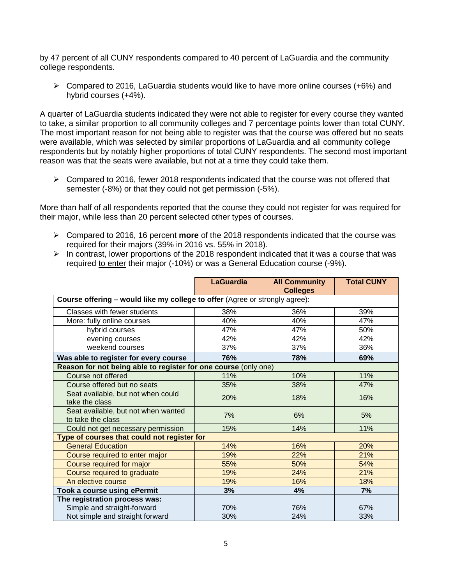by 47 percent of all CUNY respondents compared to 40 percent of LaGuardia and the community college respondents.

 $\triangleright$  Compared to 2016, LaGuardia students would like to have more online courses (+6%) and hybrid courses (+4%).

A quarter of LaGuardia students indicated they were not able to register for every course they wanted to take, a similar proportion to all community colleges and 7 percentage points lower than total CUNY. The most important reason for not being able to register was that the course was offered but no seats were available, which was selected by similar proportions of LaGuardia and all community college respondents but by notably higher proportions of total CUNY respondents. The second most important reason was that the seats were available, but not at a time they could take them.

 $\triangleright$  Compared to 2016, fewer 2018 respondents indicated that the course was not offered that semester (-8%) or that they could not get permission (-5%).

More than half of all respondents reported that the course they could not register for was required for their major, while less than 20 percent selected other types of courses.

- Compared to 2016, 16 percent **more** of the 2018 respondents indicated that the course was required for their majors (39% in 2016 vs. 55% in 2018).
- $\triangleright$  In contrast, lower proportions of the 2018 respondent indicated that it was a course that was required to enter their major (-10%) or was a General Education course (-9%).

|                                                                             | <b>LaGuardia</b> | <b>All Community</b><br><b>Colleges</b> | <b>Total CUNY</b> |  |
|-----------------------------------------------------------------------------|------------------|-----------------------------------------|-------------------|--|
| Course offering - would like my college to offer (Agree or strongly agree): |                  |                                         |                   |  |
| Classes with fewer students                                                 | 38%              | 36%                                     | 39%               |  |
| More: fully online courses                                                  | 40%              | 40%                                     | 47%               |  |
| hybrid courses                                                              | 47%              | 47%                                     | 50%               |  |
| evening courses                                                             | 42%              | 42%                                     | 42%               |  |
| weekend courses                                                             | 37%              | 37%                                     | 36%               |  |
| Was able to register for every course                                       | 76%              | 78%                                     | 69%               |  |
| Reason for not being able to register for one course (only one)             |                  |                                         |                   |  |
| Course not offered                                                          | 11%              | 10%                                     | 11%               |  |
| Course offered but no seats                                                 | 35%              | 38%                                     | 47%               |  |
| Seat available, but not when could<br>take the class                        | 20%              | 18%                                     | 16%               |  |
| Seat available, but not when wanted<br>to take the class                    | 7%               | 6%                                      | 5%                |  |
| Could not get necessary permission                                          | 15%              | 14%                                     | 11%               |  |
| Type of courses that could not register for                                 |                  |                                         |                   |  |
| <b>General Education</b>                                                    | 14%              | 16%                                     | 20%               |  |
| Course required to enter major                                              | 19%              | 22%                                     | 21%               |  |
| Course required for major                                                   | 55%              | 50%                                     | 54%               |  |
| Course required to graduate                                                 | 19%              | 24%                                     | 21%               |  |
| An elective course                                                          | 19%              | 16%                                     | 18%               |  |
| Took a course using ePermit                                                 | 3%               | 4%                                      | 7%                |  |
| The registration process was:                                               |                  |                                         |                   |  |
| Simple and straight-forward                                                 | 70%              | 76%                                     | 67%               |  |
| Not simple and straight forward                                             | 30%              | 24%                                     | 33%               |  |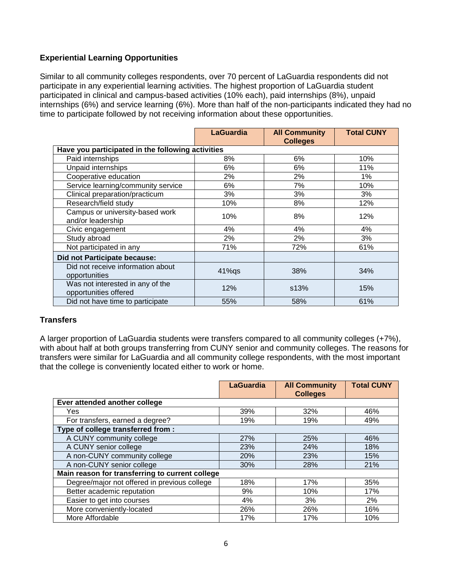## **Experiential Learning Opportunities**

Similar to all community colleges respondents, over 70 percent of LaGuardia respondents did not participate in any experiential learning activities. The highest proportion of LaGuardia student participated in clinical and campus-based activities (10% each), paid internships (8%), unpaid internships (6%) and service learning (6%). More than half of the non-participants indicated they had no time to participate followed by not receiving information about these opportunities.

|                                                           | <b>LaGuardia</b> | <b>All Community</b><br><b>Colleges</b> | <b>Total CUNY</b> |
|-----------------------------------------------------------|------------------|-----------------------------------------|-------------------|
| Have you participated in the following activities         |                  |                                         |                   |
| Paid internships                                          | 8%               | 6%                                      | 10%               |
| Unpaid internships                                        | 6%               | 6%                                      | 11%               |
| Cooperative education                                     | 2%               | 2%                                      | $1\%$             |
| Service learning/community service                        | 6%               | 7%                                      | 10%               |
| Clinical preparation/practicum                            | 3%               | 3%                                      | 3%                |
| Research/field study                                      | 10%              | 8%                                      | 12%               |
| Campus or university-based work<br>and/or leadership      | 10%              | 8%                                      | 12%               |
| Civic engagement                                          | 4%               | 4%                                      | 4%                |
| Study abroad                                              | 2%               | 2%                                      | 3%                |
| Not participated in any                                   | 71%              | 72%                                     | 61%               |
| Did not Participate because:                              |                  |                                         |                   |
| Did not receive information about<br>opportunities        | $41\%$ qs        | 38%                                     | 34%               |
| Was not interested in any of the<br>opportunities offered | 12%              | s13%                                    | 15%               |
| Did not have time to participate                          | 55%              | 58%                                     | 61%               |

### **Transfers**

A larger proportion of LaGuardia students were transfers compared to all community colleges (+7%), with about half at both groups transferring from CUNY senior and community colleges. The reasons for transfers were similar for LaGuardia and all community college respondents, with the most important that the college is conveniently located either to work or home.

|                                                 | <b>LaGuardia</b> | <b>All Community</b><br><b>Colleges</b> | <b>Total CUNY</b> |
|-------------------------------------------------|------------------|-----------------------------------------|-------------------|
| Ever attended another college                   |                  |                                         |                   |
| Yes                                             | 39%              | 32%                                     | 46%               |
| For transfers, earned a degree?                 | 19%              | 19%                                     | 49%               |
| Type of college transferred from :              |                  |                                         |                   |
| A CUNY community college                        | 27%              | 25%                                     | 46%               |
| A CUNY senior college                           | 23%              | 24%                                     | 18%               |
| A non-CUNY community college                    | 20%              | 23%                                     | 15%               |
| A non-CUNY senior college                       | 30%              | 28%                                     | 21%               |
| Main reason for transferring to current college |                  |                                         |                   |
| Degree/major not offered in previous college    | 18%              | 17%                                     | 35%               |
| Better academic reputation                      | 9%               | 10%                                     | 17%               |
| Easier to get into courses                      | 4%               | 3%                                      | 2%                |
| More conveniently-located                       | 26%              | 26%                                     | 16%               |
| More Affordable                                 | 17%              | 17%                                     | 10%               |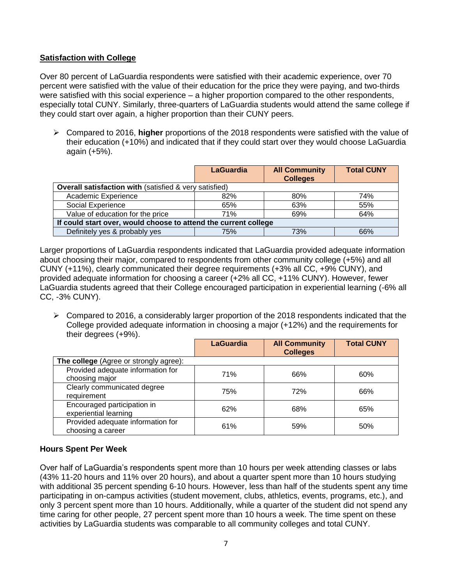## **Satisfaction with College**

Over 80 percent of LaGuardia respondents were satisfied with their academic experience, over 70 percent were satisfied with the value of their education for the price they were paying, and two-thirds were satisfied with this social experience – a higher proportion compared to the other respondents, especially total CUNY. Similarly, three-quarters of LaGuardia students would attend the same college if they could start over again, a higher proportion than their CUNY peers.

 Compared to 2016, **higher** proportions of the 2018 respondents were satisfied with the value of their education (+10%) and indicated that if they could start over they would choose LaGuardia again (+5%).

|                                                                   | <b>LaGuardia</b> | <b>All Community</b><br><b>Colleges</b> | <b>Total CUNY</b> |  |
|-------------------------------------------------------------------|------------------|-----------------------------------------|-------------------|--|
| <b>Overall satisfaction with (satisfied &amp; very satisfied)</b> |                  |                                         |                   |  |
| Academic Experience                                               | 82%              | 80%                                     | 74%               |  |
| Social Experience                                                 | 65%              | 63%                                     | 55%               |  |
| Value of education for the price                                  | 71%              | 69%                                     | 64%               |  |
| If could start over, would choose to attend the current college   |                  |                                         |                   |  |
| Definitely yes & probably yes                                     | 75%              | 73%                                     | 66%               |  |

Larger proportions of LaGuardia respondents indicated that LaGuardia provided adequate information about choosing their major, compared to respondents from other community college (+5%) and all CUNY (+11%), clearly communicated their degree requirements (+3% all CC, +9% CUNY), and provided adequate information for choosing a career (+2% all CC, +11% CUNY). However, fewer LaGuardia students agreed that their College encouraged participation in experiential learning (-6% all CC, -3% CUNY).

 $\triangleright$  Compared to 2016, a considerably larger proportion of the 2018 respondents indicated that the College provided adequate information in choosing a major (+12%) and the requirements for their degrees (+9%).

|                                                        | <b>LaGuardia</b> | <b>All Community</b><br><b>Colleges</b> | <b>Total CUNY</b> |
|--------------------------------------------------------|------------------|-----------------------------------------|-------------------|
| The college (Agree or strongly agree):                 |                  |                                         |                   |
| Provided adequate information for<br>choosing major    | 71%              | 66%                                     | 60%               |
| Clearly communicated degree<br>requirement             | 75%              | 72%                                     | 66%               |
| Encouraged participation in<br>experiential learning   | 62%              | 68%                                     | 65%               |
| Provided adequate information for<br>choosing a career | 61%              | 59%                                     | 50%               |

# **Hours Spent Per Week**

Over half of LaGuardia's respondents spent more than 10 hours per week attending classes or labs (43% 11-20 hours and 11% over 20 hours), and about a quarter spent more than 10 hours studying with additional 35 percent spending 6-10 hours. However, less than half of the students spent any time participating in on-campus activities (student movement, clubs, athletics, events, programs, etc.), and only 3 percent spent more than 10 hours. Additionally, while a quarter of the student did not spend any time caring for other people, 27 percent spent more than 10 hours a week. The time spent on these activities by LaGuardia students was comparable to all community colleges and total CUNY.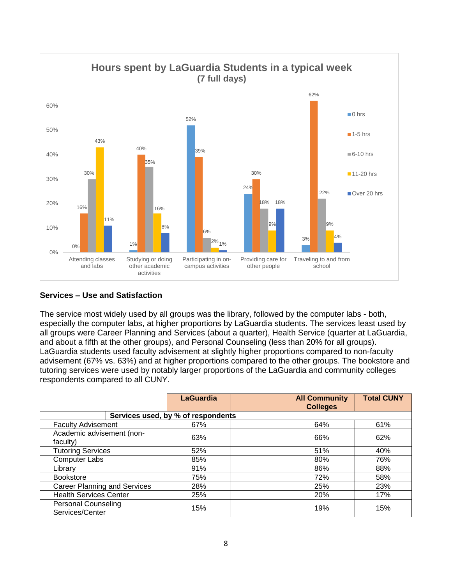

# **Services – Use and Satisfaction**

The service most widely used by all groups was the library, followed by the computer labs - both, especially the computer labs, at higher proportions by LaGuardia students. The services least used by all groups were Career Planning and Services (about a quarter), Health Service (quarter at LaGuardia, and about a fifth at the other groups), and Personal Counseling (less than 20% for all groups). LaGuardia students used faculty advisement at slightly higher proportions compared to non-faculty advisement (67% vs. 63%) and at higher proportions compared to the other groups. The bookstore and tutoring services were used by notably larger proportions of the LaGuardia and community colleges respondents compared to all CUNY.

|                                               | <b>LaGuardia</b>                   | <b>All Community</b><br><b>Colleges</b> | <b>Total CUNY</b> |
|-----------------------------------------------|------------------------------------|-----------------------------------------|-------------------|
|                                               | Services used, by % of respondents |                                         |                   |
| <b>Faculty Advisement</b>                     | 67%                                | 64%                                     | 61%               |
| Academic advisement (non-<br>faculty)         | 63%                                | 66%                                     | 62%               |
| <b>Tutoring Services</b>                      | 52%                                | 51%                                     | 40%               |
| <b>Computer Labs</b>                          | 85%                                | 80%                                     | 76%               |
| Library                                       | 91%                                | 86%                                     | 88%               |
| <b>Bookstore</b>                              | 75%                                | 72%                                     | 58%               |
| <b>Career Planning and Services</b>           | 28%                                | 25%                                     | 23%               |
| <b>Health Services Center</b>                 | 25%                                | 20%                                     | 17%               |
| <b>Personal Counseling</b><br>Services/Center | 15%                                | 19%                                     | 15%               |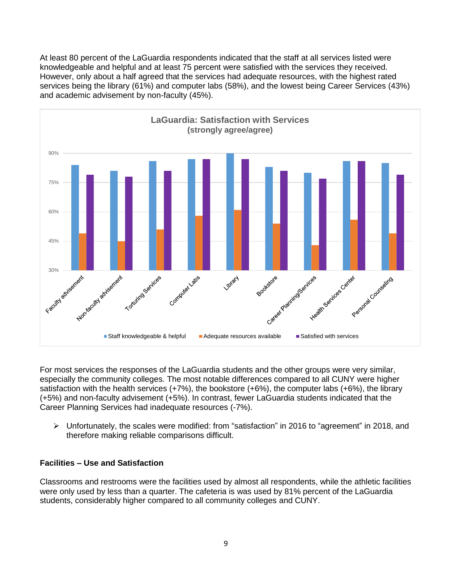At least 80 percent of the LaGuardia respondents indicated that the staff at all services listed were knowledgeable and helpful and at least 75 percent were satisfied with the services they received. However, only about a half agreed that the services had adequate resources, with the highest rated services being the library (61%) and computer labs (58%), and the lowest being Career Services (43%) and academic advisement by non-faculty (45%).



For most services the responses of the LaGuardia students and the other groups were very similar, especially the community colleges. The most notable differences compared to all CUNY were higher satisfaction with the health services  $(+7%)$ , the bookstore  $(+6%)$ , the computer labs  $(+6%)$ , the library (+5%) and non-faculty advisement (+5%). In contrast, fewer LaGuardia students indicated that the Career Planning Services had inadequate resources (-7%).

 Unfortunately, the scales were modified: from "satisfaction" in 2016 to "agreement" in 2018, and therefore making reliable comparisons difficult.

### **Facilities – Use and Satisfaction**

Classrooms and restrooms were the facilities used by almost all respondents, while the athletic facilities were only used by less than a quarter. The cafeteria is was used by 81% percent of the LaGuardia students, considerably higher compared to all community colleges and CUNY.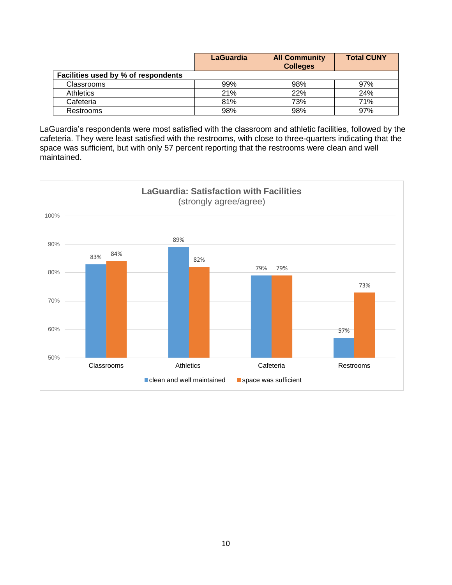|                                     | <b>LaGuardia</b> | <b>All Community</b><br><b>Colleges</b> | <b>Total CUNY</b> |
|-------------------------------------|------------------|-----------------------------------------|-------------------|
| Facilities used by % of respondents |                  |                                         |                   |
| <b>Classrooms</b>                   | 99%              | 98%                                     | 97%               |
| <b>Athletics</b>                    | 21%              | 22%                                     | 24%               |
| Cafeteria                           | 81%              | 73%                                     | 71%               |
| Restrooms                           | 98%              | 98%                                     | 97%               |

LaGuardia's respondents were most satisfied with the classroom and athletic facilities, followed by the cafeteria. They were least satisfied with the restrooms, with close to three-quarters indicating that the space was sufficient, but with only 57 percent reporting that the restrooms were clean and well maintained.

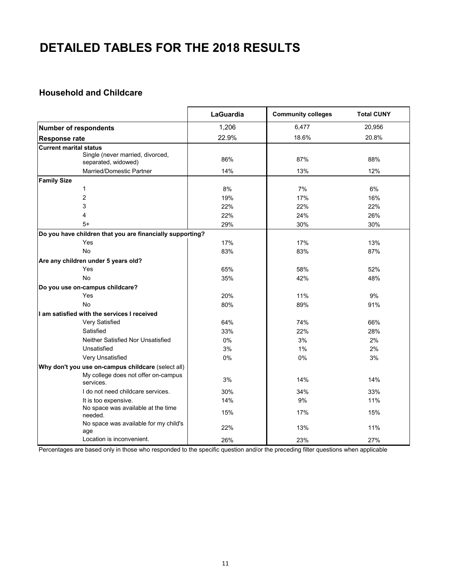# **DETAILED TABLES FOR THE 2018 RESULTS**

### **Household and Childcare**

|                                                                                           | LaGuardia | <b>Community colleges</b> | <b>Total CUNY</b> |
|-------------------------------------------------------------------------------------------|-----------|---------------------------|-------------------|
| <b>Number of respondents</b>                                                              | 1,206     | 6,477                     | 20,956            |
| <b>Response rate</b>                                                                      | 22.9%     | 18.6%                     | 20.8%             |
| <b>Current marital status</b>                                                             |           |                           |                   |
| Single (never married, divorced,                                                          | 86%       | 87%                       | 88%               |
| separated, widowed)                                                                       |           |                           |                   |
| Married/Domestic Partner                                                                  | 14%       | 13%                       | 12%               |
| <b>Family Size</b>                                                                        |           |                           |                   |
| 1                                                                                         | 8%        | 7%                        | 6%                |
| $\overline{2}$                                                                            | 19%       | 17%                       | 16%               |
| 3                                                                                         | 22%       | 22%                       | 22%               |
| 4                                                                                         | 22%       | 24%                       | 26%               |
| $5+$                                                                                      | 29%       | 30%                       | 30%               |
| Do you have children that you are financially supporting?                                 |           |                           |                   |
| Yes                                                                                       | 17%       | 17%                       | 13%               |
| No                                                                                        | 83%       | 83%                       | 87%               |
| Are any children under 5 years old?                                                       |           |                           |                   |
| Yes                                                                                       | 65%       | 58%                       | 52%               |
| No                                                                                        | 35%       | 42%                       | 48%               |
| Do you use on-campus childcare?                                                           |           |                           |                   |
| Yes                                                                                       | 20%       | 11%                       | 9%                |
| <b>No</b>                                                                                 | 80%       | 89%                       | 91%               |
| I am satisfied with the services I received                                               |           |                           |                   |
| Very Satisfied                                                                            | 64%       | 74%                       | 66%               |
| Satisfied                                                                                 | 33%       | 22%                       | 28%               |
| Neither Satisfied Nor Unsatisfied                                                         | 0%        | 3%                        | 2%                |
| Unsatisfied                                                                               | 3%        | 1%                        | 2%                |
| Very Unsatisfied                                                                          | 0%        | 0%                        | 3%                |
|                                                                                           |           |                           |                   |
| Why don't you use on-campus childcare (select all)<br>My college does not offer on-campus |           |                           |                   |
| services.                                                                                 | 3%        | 14%                       | 14%               |
| I do not need childcare services.                                                         | 30%       | 34%                       | 33%               |
| It is too expensive.                                                                      | 14%       | 9%                        | 11%               |
| No space was available at the time<br>needed.                                             | 15%       | 17%                       | 15%               |
| No space was available for my child's<br>age                                              | 22%       | 13%                       | 11%               |
| Location is inconvenient.                                                                 | 26%       | 23%                       | 27%               |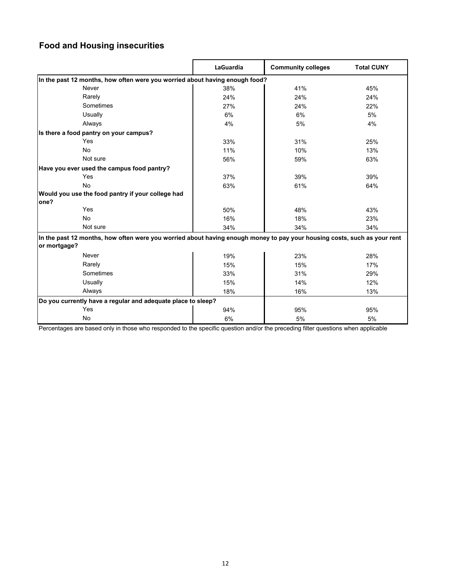# **Food and Housing insecurities**

|                                                                                                                                          | LaGuardia | <b>Community colleges</b> | <b>Total CUNY</b> |
|------------------------------------------------------------------------------------------------------------------------------------------|-----------|---------------------------|-------------------|
| In the past 12 months, how often were you worried about having enough food?                                                              |           |                           |                   |
| Never                                                                                                                                    | 38%       | 41%                       | 45%               |
| Rarely                                                                                                                                   | 24%       | 24%                       | 24%               |
| Sometimes                                                                                                                                | 27%       | 24%                       | 22%               |
| Usually                                                                                                                                  | 6%        | 6%                        | 5%                |
| Always                                                                                                                                   | 4%        | 5%                        | 4%                |
| Is there a food pantry on your campus?                                                                                                   |           |                           |                   |
| Yes                                                                                                                                      | 33%       | 31%                       | 25%               |
| <b>No</b>                                                                                                                                | 11%       | 10%                       | 13%               |
| Not sure                                                                                                                                 | 56%       | 59%                       | 63%               |
| Have you ever used the campus food pantry?                                                                                               |           |                           |                   |
| Yes                                                                                                                                      | 37%       | 39%                       | 39%               |
| No                                                                                                                                       | 63%       | 61%                       | 64%               |
| Would you use the food pantry if your college had<br>one?                                                                                |           |                           |                   |
| Yes                                                                                                                                      | 50%       | 48%                       | 43%               |
| No                                                                                                                                       | 16%       | 18%                       | 23%               |
| Not sure                                                                                                                                 | 34%       | 34%                       | 34%               |
| In the past 12 months, how often were you worried about having enough money to pay your housing costs, such as your rent<br>or mortgage? |           |                           |                   |
| Never                                                                                                                                    | 19%       | 23%                       | 28%               |
| Rarely                                                                                                                                   | 15%       | 15%                       | 17%               |
| Sometimes                                                                                                                                | 33%       | 31%                       | 29%               |
| Usually                                                                                                                                  | 15%       | 14%                       | 12%               |
| Always                                                                                                                                   | 18%       | 16%                       | 13%               |
| Do you currently have a regular and adequate place to sleep?                                                                             |           |                           |                   |
| Yes                                                                                                                                      | 94%       | 95%                       | 95%               |
| No                                                                                                                                       | 6%        | 5%                        | 5%                |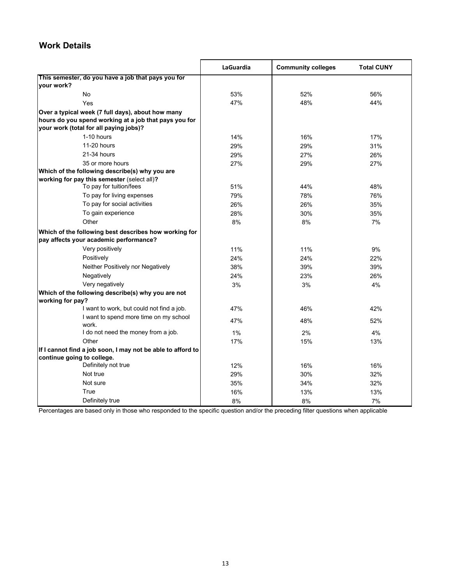# **Work Details**

|                                                                                                 | LaGuardia | <b>Community colleges</b> | <b>Total CUNY</b> |
|-------------------------------------------------------------------------------------------------|-----------|---------------------------|-------------------|
| This semester, do you have a job that pays you for                                              |           |                           |                   |
| vour work?                                                                                      |           |                           |                   |
| No                                                                                              | 53%       | 52%                       | 56%               |
| Yes                                                                                             | 47%       | 48%                       | 44%               |
| Over a typical week (7 full days), about how many                                               |           |                           |                   |
| hours do you spend working at a job that pays you for                                           |           |                           |                   |
| your work (total for all paying jobs)?                                                          |           |                           |                   |
| 1-10 hours                                                                                      | 14%       | 16%                       | 17%               |
| 11-20 hours                                                                                     | 29%       | 29%                       | 31%               |
| 21-34 hours                                                                                     | 29%       | 27%                       | 26%               |
| 35 or more hours                                                                                | 27%       | 29%                       | 27%               |
| Which of the following describe(s) why you are                                                  |           |                           |                   |
| working for pay this semester (select all)?                                                     |           |                           |                   |
| To pay for tuition/fees                                                                         | 51%       | 44%                       | 48%               |
| To pay for living expenses                                                                      | 79%       | 78%                       | 76%               |
| To pay for social activities                                                                    | 26%       | 26%                       | 35%               |
| To gain experience                                                                              | 28%       | 30%                       | 35%               |
| Other                                                                                           | 8%        | 8%                        | 7%                |
| Which of the following best describes how working for<br>pay affects your academic performance? |           |                           |                   |
| Very positively                                                                                 | 11%       | 11%                       | 9%                |
| Positively                                                                                      | 24%       | 24%                       | 22%               |
| Neither Positively nor Negatively                                                               | 38%       | 39%                       | 39%               |
| Negatively                                                                                      | 24%       | 23%                       | 26%               |
| Very negatively                                                                                 | 3%        | 3%                        | 4%                |
| Which of the following describe(s) why you are not                                              |           |                           |                   |
| working for pay?                                                                                |           |                           |                   |
| I want to work, but could not find a job.                                                       | 47%       | 46%                       | 42%               |
| I want to spend more time on my school<br>work.                                                 | 47%       | 48%                       | 52%               |
| I do not need the money from a job.                                                             | 1%        | 2%                        | 4%                |
| Other                                                                                           | 17%       | 15%                       | 13%               |
| If I cannot find a job soon, I may not be able to afford to                                     |           |                           |                   |
| continue going to college.                                                                      |           |                           |                   |
| Definitely not true                                                                             | 12%       | 16%                       | 16%               |
| Not true                                                                                        | 29%       | 30%                       | 32%               |
| Not sure                                                                                        | 35%       | 34%                       | 32%               |
| True                                                                                            | 16%       | 13%                       | 13%               |
| Definitely true                                                                                 | 8%        | 8%                        | 7%                |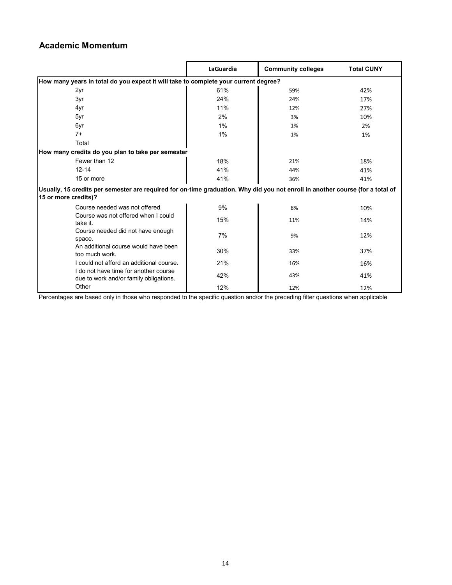# **Academic Momentum**

|                                                                                                                                                        | LaGuardia | <b>Community colleges</b> | <b>Total CUNY</b> |  |
|--------------------------------------------------------------------------------------------------------------------------------------------------------|-----------|---------------------------|-------------------|--|
| How many years in total do you expect it will take to complete your current degree?                                                                    |           |                           |                   |  |
| 2yr                                                                                                                                                    | 61%       | 59%                       | 42%               |  |
| 3yr                                                                                                                                                    | 24%       | 24%                       | 17%               |  |
| 4yr                                                                                                                                                    | 11%       | 12%                       | 27%               |  |
| 5yr                                                                                                                                                    | 2%        | 3%                        | 10%               |  |
| 6yr                                                                                                                                                    | $1\%$     | 1%                        | 2%                |  |
| $7+$                                                                                                                                                   | 1%        | 1%                        | 1%                |  |
| Total                                                                                                                                                  |           |                           |                   |  |
| How many credits do you plan to take per semester                                                                                                      |           |                           |                   |  |
| Fewer than 12                                                                                                                                          | 18%       | 21%                       | 18%               |  |
| $12 - 14$                                                                                                                                              | 41%       | 44%                       | 41%               |  |
| 15 or more                                                                                                                                             | 41%       | 36%                       | 41%               |  |
| Usually, 15 credits per semester are required for on-time graduation. Why did you not enroll in another course (for a total of<br>15 or more credits)? |           |                           |                   |  |
| Course needed was not offered.                                                                                                                         | 9%        | 8%                        | 10%               |  |
| Course was not offered when I could<br>take it.                                                                                                        | 15%       | 11%                       | 14%               |  |
| Course needed did not have enough<br>space.                                                                                                            | 7%        | 9%                        | 12%               |  |
| An additional course would have been<br>too much work.                                                                                                 | 30%       | 33%                       | 37%               |  |
| Lcould not afford an additional course.                                                                                                                | 21%       | 16%                       | 16%               |  |
| I do not have time for another course<br>due to work and/or family obligations.                                                                        | 42%       | 43%                       | 41%               |  |
| Other                                                                                                                                                  | 12%       | 12%                       | 12%               |  |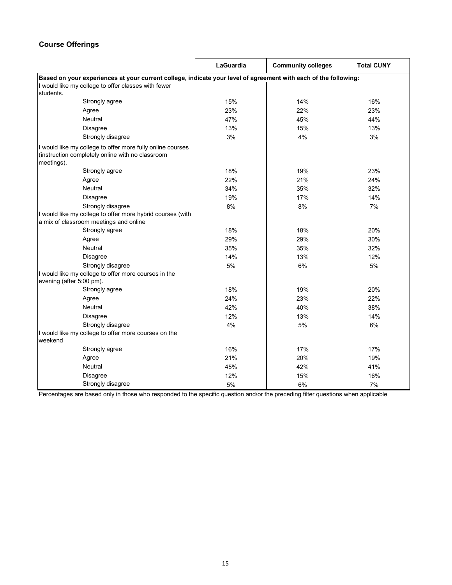## **Course Offerings**

|                                                                                                                              | LaGuardia | <b>Community colleges</b> | <b>Total CUNY</b> |  |
|------------------------------------------------------------------------------------------------------------------------------|-----------|---------------------------|-------------------|--|
| Based on your experiences at your current college, indicate your level of agreement with each of the following:              |           |                           |                   |  |
| I would like my college to offer classes with fewer                                                                          |           |                           |                   |  |
| students.                                                                                                                    |           |                           |                   |  |
| Strongly agree                                                                                                               | 15%       | 14%                       | 16%               |  |
| Agree                                                                                                                        | 23%       | 22%                       | 23%               |  |
| Neutral                                                                                                                      | 47%       | 45%                       | 44%               |  |
| <b>Disagree</b>                                                                                                              | 13%       | 15%                       | 13%               |  |
| Strongly disagree                                                                                                            | 3%        | 4%                        | 3%                |  |
| I would like my college to offer more fully online courses<br>(instruction completely online with no classroom<br>meetings). |           |                           |                   |  |
| Strongly agree                                                                                                               | 18%       | 19%                       | 23%               |  |
| Agree                                                                                                                        | 22%       | 21%                       | 24%               |  |
| Neutral                                                                                                                      | 34%       | 35%                       | 32%               |  |
| <b>Disagree</b>                                                                                                              | 19%       | 17%                       | 14%               |  |
| Strongly disagree                                                                                                            | 8%        | 8%                        | 7%                |  |
| I would like my college to offer more hybrid courses (with<br>a mix of classroom meetings and online                         |           |                           |                   |  |
| Strongly agree                                                                                                               | 18%       | 18%                       | 20%               |  |
| Agree                                                                                                                        | 29%       | 29%                       | 30%               |  |
| Neutral                                                                                                                      | 35%       | 35%                       | 32%               |  |
| Disagree                                                                                                                     | 14%       | 13%                       | 12%               |  |
| Strongly disagree                                                                                                            | 5%        | 6%                        | 5%                |  |
| I would like my college to offer more courses in the<br>evening (after 5:00 pm).                                             |           |                           |                   |  |
| Strongly agree                                                                                                               | 18%       | 19%                       | 20%               |  |
| Agree                                                                                                                        | 24%       | 23%                       | 22%               |  |
| Neutral                                                                                                                      | 42%       | 40%                       | 38%               |  |
| <b>Disagree</b>                                                                                                              | 12%       | 13%                       | 14%               |  |
| Strongly disagree                                                                                                            | 4%        | 5%                        | 6%                |  |
| I would like my college to offer more courses on the<br>weekend                                                              |           |                           |                   |  |
| Strongly agree                                                                                                               | 16%       | 17%                       | 17%               |  |
| Agree                                                                                                                        | 21%       | 20%                       | 19%               |  |
| Neutral                                                                                                                      | 45%       | 42%                       | 41%               |  |
| <b>Disagree</b>                                                                                                              | 12%       | 15%                       | 16%               |  |
| Strongly disagree                                                                                                            | 5%        | 6%                        | 7%                |  |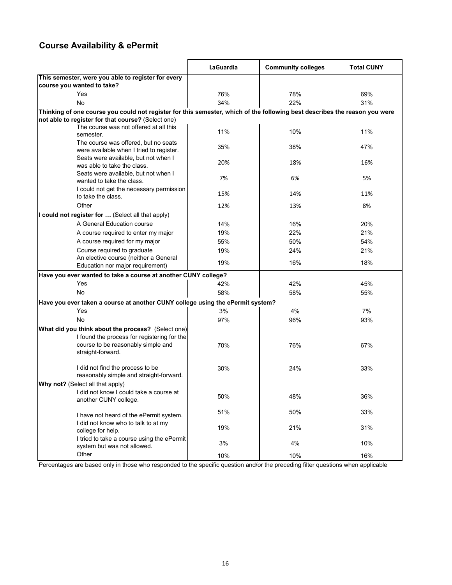# **Course Availability & ePermit**

|                                                                                                                            | LaGuardia | <b>Community colleges</b> | <b>Total CUNY</b> |
|----------------------------------------------------------------------------------------------------------------------------|-----------|---------------------------|-------------------|
| This semester, were you able to register for every                                                                         |           |                           |                   |
| course you wanted to take?                                                                                                 |           |                           |                   |
| Yes                                                                                                                        | 76%       | 78%                       | 69%               |
| No                                                                                                                         | 34%       | 22%                       | 31%               |
| Thinking of one course you could not register for this semester, which of the following best describes the reason you were |           |                           |                   |
| not able to register for that course? (Select one)                                                                         |           |                           |                   |
| The course was not offered at all this<br>semester.                                                                        | 11%       | 10%                       | 11%               |
| The course was offered, but no seats<br>were available when I tried to register.                                           | 35%       | 38%                       | 47%               |
| Seats were available, but not when I<br>was able to take the class.                                                        | 20%       | 18%                       | 16%               |
| Seats were available, but not when I<br>wanted to take the class.                                                          | 7%        | 6%                        | 5%                |
| I could not get the necessary permission<br>to take the class.                                                             | 15%       | 14%                       | 11%               |
| Other                                                                                                                      | 12%       | 13%                       | 8%                |
| I could not register for  (Select all that apply)                                                                          |           |                           |                   |
| A General Education course                                                                                                 | 14%       | 16%                       | 20%               |
| A course required to enter my major                                                                                        | 19%       | 22%                       | 21%               |
| A course required for my major                                                                                             | 55%       | 50%                       | 54%               |
| Course required to graduate                                                                                                | 19%       | 24%                       | 21%               |
| An elective course (neither a General<br>Education nor major requirement)                                                  | 19%       | 16%                       | 18%               |
| Have you ever wanted to take a course at another CUNY college?                                                             |           |                           |                   |
| Yes                                                                                                                        | 42%       | 42%                       | 45%               |
| No                                                                                                                         | 58%       | 58%                       | 55%               |
| Have you ever taken a course at another CUNY college using the ePermit system?                                             |           |                           |                   |
| Yes                                                                                                                        | 3%        | 4%                        | 7%                |
| <b>No</b>                                                                                                                  | 97%       | 96%                       | 93%               |
| What did you think about the process? (Select one)                                                                         |           |                           |                   |
| I found the process for registering for the<br>course to be reasonably simple and<br>straight-forward.                     | 70%       | 76%                       | 67%               |
| I did not find the process to be<br>reasonably simple and straight-forward.                                                | 30%       | 24%                       | 33%               |
| Why not? (Select all that apply)<br>I did not know I could take a course at                                                |           |                           |                   |
| another CUNY college.                                                                                                      | 50%       | 48%                       | 36%               |
| I have not heard of the ePermit system.                                                                                    | 51%       | 50%                       | 33%               |
| I did not know who to talk to at my<br>college for help.                                                                   | 19%       | 21%                       | 31%               |
| I tried to take a course using the ePermit<br>system but was not allowed.                                                  | 3%        | 4%                        | 10%               |
| Other                                                                                                                      | 10%       | 10%                       | 16%               |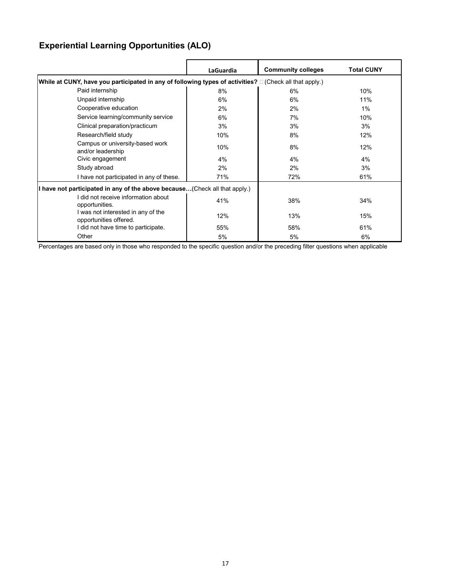# **Experiential Learning Opportunities (ALO)**

|                                                                                                                 | <b>LaGuardia</b> | <b>Community colleges</b> | <b>Total CUNY</b> |
|-----------------------------------------------------------------------------------------------------------------|------------------|---------------------------|-------------------|
| While at CUNY, have you participated in any of following types of activities? $\square$ (Check all that apply.) |                  |                           |                   |
| Paid internship                                                                                                 | 8%               | 6%                        | 10%               |
| Unpaid internship                                                                                               | 6%               | 6%                        | 11%               |
| Cooperative education                                                                                           | 2%               | 2%                        | 1%                |
| Service learning/community service                                                                              | 6%               | 7%                        | 10%               |
| Clinical preparation/practicum                                                                                  | 3%               | 3%                        | 3%                |
| Research/field study                                                                                            | 10%              | 8%                        | 12%               |
| Campus or university-based work<br>and/or leadership                                                            | 10%              | 8%                        | 12%               |
| Civic engagement                                                                                                | 4%               | 4%                        | 4%                |
| Study abroad                                                                                                    | 2%               | 2%                        | 3%                |
| I have not participated in any of these.                                                                        | 71%              | 72%                       | 61%               |
| I have not participated in any of the above because(Check all that apply.)                                      |                  |                           |                   |
| I did not receive information about<br>opportunities.                                                           | 41%              | 38%                       | 34%               |
| I was not interested in any of the<br>opportunities offered.                                                    | 12%              | 13%                       | 15%               |
| I did not have time to participate.                                                                             | 55%              | 58%                       | 61%               |
| Other                                                                                                           | 5%               | 5%                        | 6%                |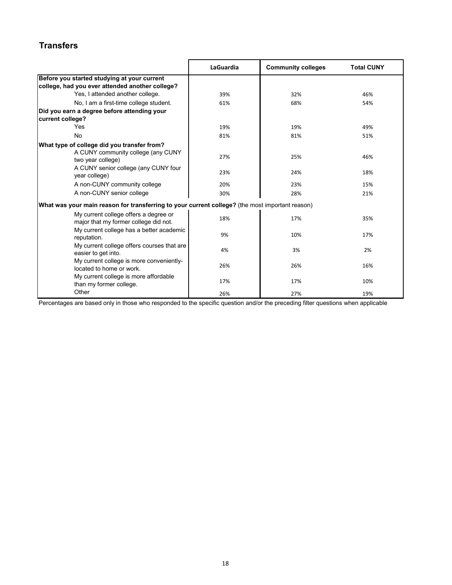# **Transfers**

|                                                                                                        | LaGuardia | <b>Community colleges</b> | <b>Total CUNY</b> |
|--------------------------------------------------------------------------------------------------------|-----------|---------------------------|-------------------|
| Before you started studying at your current                                                            |           |                           |                   |
| college, had you ever attended another college?                                                        |           |                           |                   |
| Yes, I attended another college.                                                                       | 39%       | 32%                       | 46%               |
| No, I am a first-time college student.                                                                 | 61%       | 68%                       | 54%               |
| Did you earn a degree before attending your<br>current college?                                        |           |                           |                   |
| Yes                                                                                                    | 19%       | 19%                       | 49%               |
| No                                                                                                     | 81%       | 81%                       | 51%               |
| What type of college did you transfer from?<br>A CUNY community college (any CUNY<br>two year college) | 27%       | 25%                       | 46%               |
| A CUNY senior college (any CUNY four<br>year college)                                                  | 23%       | 24%                       | 18%               |
| A non-CUNY community college                                                                           | 20%       | 23%                       | 15%               |
| A non-CUNY senior college                                                                              | 30%       | 28%                       | 21%               |
| What was your main reason for transferring to your current college? (the most important reason)        |           |                           |                   |
| My current college offers a degree or<br>major that my former college did not.                         | 18%       | 17%                       | 35%               |
| My current college has a better academic<br>reputation.                                                | 9%        | 10%                       | 17%               |
| My current college offers courses that are<br>easier to get into.                                      | 4%        | 3%                        | 2%                |
| My current college is more conveniently-<br>located to home or work                                    | 26%       | 26%                       | 16%               |
| My current college is more affordable<br>than my former college.                                       | 17%       | 17%                       | 10%               |
| Other                                                                                                  | 26%       | 27%                       | 19%               |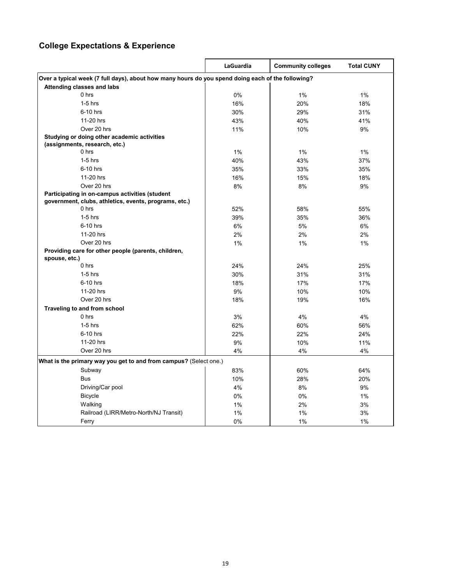# **College Expectations & Experience**

|                                                                                                   | <b>LaGuardia</b> | <b>Community colleges</b> | <b>Total CUNY</b> |  |
|---------------------------------------------------------------------------------------------------|------------------|---------------------------|-------------------|--|
| Over a typical week (7 full days), about how many hours do you spend doing each of the following? |                  |                           |                   |  |
| Attending classes and labs                                                                        |                  |                           |                   |  |
| $0$ hrs                                                                                           | 0%               | $1\%$                     | 1%                |  |
| $1-5$ hrs                                                                                         | 16%              | 20%                       | 18%               |  |
| 6-10 hrs                                                                                          | 30%              | 29%                       | 31%               |  |
| 11-20 hrs                                                                                         | 43%              | 40%                       | 41%               |  |
| Over 20 hrs                                                                                       | 11%              | 10%                       | 9%                |  |
| Studying or doing other academic activities                                                       |                  |                           |                   |  |
| (assignments, research, etc.)                                                                     |                  |                           |                   |  |
| $0$ hrs                                                                                           | 1%               | 1%                        | 1%                |  |
| $1-5$ hrs                                                                                         | 40%              | 43%                       | 37%               |  |
| 6-10 hrs                                                                                          | 35%              | 33%                       | 35%               |  |
| 11-20 hrs                                                                                         | 16%              | 15%                       | 18%               |  |
| Over 20 hrs                                                                                       | 8%               | 8%                        | 9%                |  |
| Participating in on-campus activities (student                                                    |                  |                           |                   |  |
| government, clubs, athletics, events, programs, etc.)                                             |                  |                           |                   |  |
| 0 hrs                                                                                             | 52%              | 58%                       | 55%               |  |
| $1-5$ hrs                                                                                         | 39%              | 35%                       | 36%               |  |
| 6-10 hrs                                                                                          | 6%               | 5%                        | 6%                |  |
| 11-20 hrs                                                                                         | 2%               | 2%                        | 2%                |  |
| Over 20 hrs                                                                                       | 1%               | 1%                        | $1\%$             |  |
| Providing care for other people (parents, children,<br>spouse, etc.)                              |                  |                           |                   |  |
| $0$ hrs                                                                                           | 24%              | 24%                       | 25%               |  |
| $1-5$ hrs                                                                                         | 30%              | 31%                       | 31%               |  |
| 6-10 hrs                                                                                          | 18%              | 17%                       | 17%               |  |
| 11-20 hrs                                                                                         | 9%               | 10%                       | 10%               |  |
| Over 20 hrs                                                                                       | 18%              | 19%                       | 16%               |  |
| Traveling to and from school                                                                      |                  |                           |                   |  |
| 0 hrs                                                                                             | 3%               | 4%                        | 4%                |  |
| $1-5$ hrs                                                                                         | 62%              | 60%                       | 56%               |  |
| 6-10 hrs                                                                                          | 22%              | 22%                       | 24%               |  |
| 11-20 hrs                                                                                         | 9%               | 10%                       | 11%               |  |
| Over 20 hrs                                                                                       | 4%               | 4%                        | 4%                |  |
| What is the primary way you get to and from campus? (Select one.)                                 |                  |                           |                   |  |
| Subway                                                                                            | 83%              | 60%                       | 64%               |  |
| <b>Bus</b>                                                                                        | 10%              | 28%                       | 20%               |  |
| Driving/Car pool                                                                                  | 4%               | 8%                        | 9%                |  |
| <b>Bicycle</b>                                                                                    | 0%               | 0%                        | $1\%$             |  |
| Walking                                                                                           | 1%               | 2%                        | 3%                |  |
| Railroad (LIRR/Metro-North/NJ Transit)                                                            | 1%               | 1%                        | 3%                |  |
| Ferry                                                                                             | 0%               | 1%                        | 1%                |  |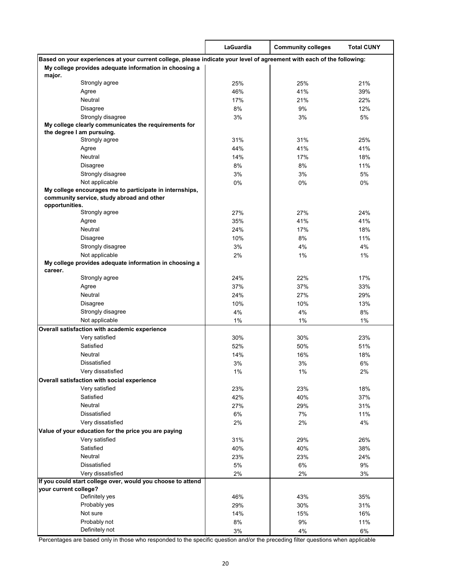|                                                                                                                        | LaGuardia  | <b>Community colleges</b> | <b>Total CUNY</b> |
|------------------------------------------------------------------------------------------------------------------------|------------|---------------------------|-------------------|
| Based on your experiences at your current college, please indicate your level of agreement with each of the following: |            |                           |                   |
| My college provides adequate information in choosing a                                                                 |            |                           |                   |
| major.                                                                                                                 |            |                           |                   |
| Strongly agree                                                                                                         | 25%        | 25%                       | 21%               |
| Agree                                                                                                                  | 46%        | 41%                       | 39%               |
| Neutral                                                                                                                | 17%        | 21%                       | 22%               |
| <b>Disagree</b>                                                                                                        | 8%         | 9%                        | 12%               |
| Strongly disagree<br>My college clearly communicates the requirements for                                              | 3%         | 3%                        | 5%                |
| the degree I am pursuing.                                                                                              |            |                           |                   |
| Strongly agree                                                                                                         | 31%        | 31%                       | 25%               |
| Agree                                                                                                                  | 44%        | 41%                       | 41%               |
| Neutral                                                                                                                | 14%        | 17%                       | 18%               |
| <b>Disagree</b>                                                                                                        | 8%         | 8%                        | 11%               |
| Strongly disagree                                                                                                      | 3%         | 3%                        | 5%                |
| Not applicable                                                                                                         | 0%         | 0%                        | 0%                |
| My college encourages me to participate in internships,<br>community service, study abroad and other<br>opportunities. |            |                           |                   |
| Strongly agree                                                                                                         | 27%        | 27%                       | 24%               |
| Agree                                                                                                                  | 35%        | 41%                       | 41%               |
| Neutral                                                                                                                | 24%        | 17%                       | 18%               |
| <b>Disagree</b>                                                                                                        | 10%        | 8%                        | 11%               |
| Strongly disagree                                                                                                      | 3%         | 4%                        | 4%                |
| Not applicable                                                                                                         | 2%         | $1\%$                     | 1%                |
| My college provides adequate information in choosing a<br>career.                                                      |            |                           |                   |
| Strongly agree                                                                                                         | 24%        | 22%                       | 17%               |
| Agree                                                                                                                  | 37%        | 37%                       | 33%               |
| Neutral                                                                                                                | 24%        | 27%                       | 29%               |
| <b>Disagree</b>                                                                                                        | 10%        | 10%                       | 13%               |
| Strongly disagree                                                                                                      | 4%         | 4%                        | 8%                |
| Not applicable                                                                                                         | 1%         | 1%                        | 1%                |
| Overall satisfaction with academic experience                                                                          |            |                           |                   |
| Very satisfied<br>Satisfied                                                                                            | 30%<br>52% | 30%                       | 23%               |
| Neutral                                                                                                                | 14%        | 50%<br>16%                | 51%<br>18%        |
| <b>Dissatisfied</b>                                                                                                    | 3%         | 3%                        | 6%                |
| Very dissatisfied                                                                                                      | $1\%$      | 1%                        | 2%                |
| Overall satisfaction with social experience                                                                            |            |                           |                   |
| Very satisfied                                                                                                         | 23%        | 23%                       | 18%               |
| Satisfied                                                                                                              | 42%        | 40%                       | 37%               |
| Neutral                                                                                                                | 27%        | 29%                       | 31%               |
| <b>Dissatisfied</b>                                                                                                    | 6%         | 7%                        | 11%               |
| Very dissatisfied                                                                                                      | 2%         | 2%                        | 4%                |
| Value of your education for the price you are paying                                                                   |            |                           |                   |
| Very satisfied                                                                                                         | 31%        | 29%                       | 26%               |
| Satisfied                                                                                                              | 40%        | 40%                       | 38%               |
| Neutral                                                                                                                | 23%        | 23%                       | 24%               |
| <b>Dissatisfied</b>                                                                                                    | 5%         | 6%                        | 9%                |
| Very dissatisfied                                                                                                      | 2%         | 2%                        | 3%                |
| If you could start college over, would you choose to attend                                                            |            |                           |                   |
| your current college?                                                                                                  |            |                           |                   |
| Definitely yes                                                                                                         | 46%        | 43%                       | 35%               |
| Probably yes<br>Not sure                                                                                               | 29%        | 30%                       | 31%               |
| Probably not                                                                                                           | 14%<br>8%  | 15%<br>9%                 | 16%<br>11%        |
| Definitely not                                                                                                         | 3%         | 4%                        | 6%                |
|                                                                                                                        |            |                           |                   |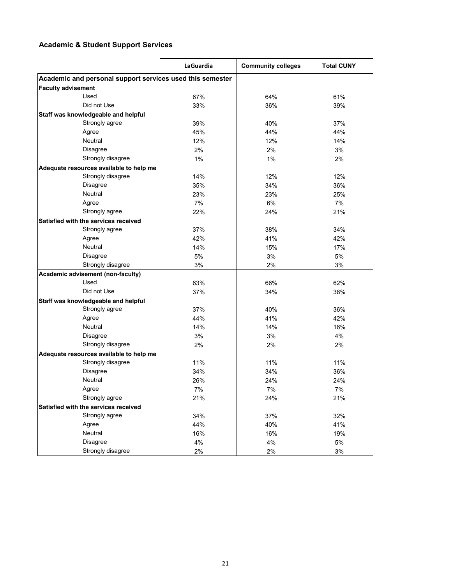## **Academic & Student Support Services**

|                                                           | <b>LaGuardia</b> | <b>Community colleges</b> | <b>Total CUNY</b> |
|-----------------------------------------------------------|------------------|---------------------------|-------------------|
| Academic and personal support services used this semester |                  |                           |                   |
| <b>Faculty advisement</b>                                 |                  |                           |                   |
| Used                                                      | 67%              | 64%                       | 61%               |
| Did not Use                                               | 33%              | 36%                       | 39%               |
| Staff was knowledgeable and helpful                       |                  |                           |                   |
| Strongly agree                                            | 39%              | 40%                       | 37%               |
| Agree                                                     | 45%              | 44%                       | 44%               |
| Neutral                                                   | 12%              | 12%                       | 14%               |
| <b>Disagree</b>                                           | 2%               | 2%                        | 3%                |
| Strongly disagree                                         | 1%               | 1%                        | 2%                |
| Adequate resources available to help me                   |                  |                           |                   |
| Strongly disagree                                         | 14%              | 12%                       | 12%               |
| Disagree                                                  | 35%              | 34%                       | 36%               |
| Neutral                                                   | 23%              | 23%                       | 25%               |
| Agree                                                     | 7%               | 6%                        | 7%                |
| Strongly agree                                            | 22%              | 24%                       | 21%               |
| Satisfied with the services received                      |                  |                           |                   |
| Strongly agree                                            | 37%              | 38%                       | 34%               |
| Agree                                                     | 42%              | 41%                       | 42%               |
| Neutral                                                   | 14%              | 15%                       | 17%               |
| <b>Disagree</b>                                           | 5%               | 3%                        | 5%                |
| Strongly disagree                                         | 3%               | 2%                        | 3%                |
| Academic advisement (non-faculty)                         |                  |                           |                   |
| Used                                                      | 63%              | 66%                       | 62%               |
| Did not Use                                               | 37%              | 34%                       | 38%               |
| Staff was knowledgeable and helpful                       |                  |                           |                   |
| Strongly agree                                            | 37%              | 40%                       | 36%               |
| Agree                                                     | 44%              | 41%                       | 42%               |
| Neutral                                                   | 14%              | 14%                       | 16%               |
| <b>Disagree</b>                                           | 3%               | 3%                        | 4%                |
| Strongly disagree                                         | 2%               | 2%                        | 2%                |
| Adequate resources available to help me                   |                  |                           |                   |
| Strongly disagree                                         | 11%              | 11%                       | 11%               |
| Disagree                                                  | 34%              | 34%                       | 36%               |
| Neutral                                                   | 26%              | 24%                       | 24%               |
| Agree                                                     | 7%               | 7%                        | 7%                |
| Strongly agree                                            | 21%              | 24%                       | 21%               |
| Satisfied with the services received                      |                  |                           |                   |
| Strongly agree                                            | 34%              | 37%                       | 32%               |
| Agree                                                     | 44%              | 40%                       | 41%               |
| Neutral                                                   | 16%              | 16%                       | 19%               |
| Disagree                                                  | 4%               | 4%                        | 5%                |
| Strongly disagree                                         | 2%               | 2%                        | 3%                |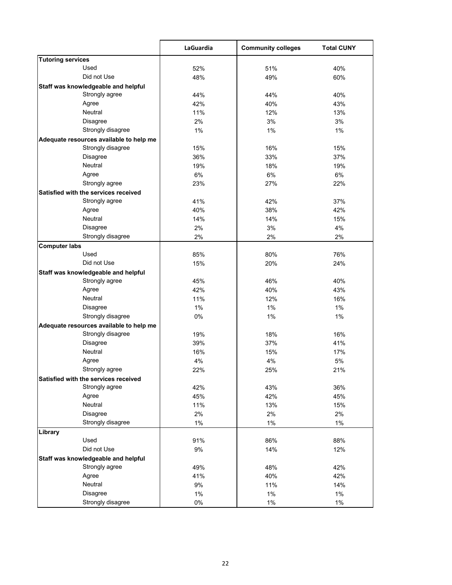|                                         | LaGuardia | <b>Community colleges</b> | <b>Total CUNY</b> |
|-----------------------------------------|-----------|---------------------------|-------------------|
| <b>Tutoring services</b>                |           |                           |                   |
| Used                                    | 52%       | 51%                       | 40%               |
| Did not Use                             | 48%       | 49%                       | 60%               |
| Staff was knowledgeable and helpful     |           |                           |                   |
| Strongly agree                          | 44%       | 44%                       | 40%               |
| Agree                                   | 42%       | 40%                       | 43%               |
| Neutral                                 | 11%       | 12%                       | 13%               |
| Disagree                                | 2%        | 3%                        | 3%                |
| Strongly disagree                       | 1%        | 1%                        | 1%                |
| Adequate resources available to help me |           |                           |                   |
| Strongly disagree                       | 15%       | 16%                       | 15%               |
| Disagree                                | 36%       | 33%                       | 37%               |
| Neutral                                 | 19%       | 18%                       | 19%               |
| Agree                                   | 6%        | 6%                        | 6%                |
| Strongly agree                          | 23%       | 27%                       | 22%               |
| Satisfied with the services received    |           |                           |                   |
| Strongly agree                          | 41%       | 42%                       | 37%               |
| Agree                                   | 40%       | 38%                       | 42%               |
| Neutral                                 | 14%       | 14%                       | 15%               |
| Disagree                                | 2%        | 3%                        | 4%                |
| Strongly disagree                       | 2%        | 2%                        | 2%                |
| <b>Computer labs</b>                    |           |                           |                   |
| Used                                    | 85%       | 80%                       | 76%               |
| Did not Use                             | 15%       | 20%                       | 24%               |
| Staff was knowledgeable and helpful     |           |                           |                   |
| Strongly agree                          | 45%       | 46%                       | 40%               |
| Agree                                   | 42%       | 40%                       | 43%               |
| Neutral                                 | 11%       | 12%                       | 16%               |
| Disagree                                | 1%        | 1%                        | 1%                |
| Strongly disagree                       | 0%        | 1%                        | 1%                |
| Adequate resources available to help me |           |                           |                   |
| Strongly disagree                       | 19%       | 18%                       | 16%               |
| Disagree                                | 39%       | 37%                       | 41%               |
| Neutral                                 | 16%       | 15%                       | 17%               |
| Agree                                   | 4%        | 4%                        | 5%                |
| Strongly agree                          | 22%       | 25%                       | 21%               |
| Satisfied with the services received    |           |                           |                   |
| Strongly agree                          | 42%       | 43%                       | 36%               |
| Agree                                   | 45%       | 42%                       | 45%               |
| Neutral                                 | 11%       | 13%                       | 15%               |
| <b>Disagree</b>                         | 2%        | 2%                        | 2%                |
| Strongly disagree                       | 1%        | 1%                        | 1%                |
| Library                                 |           |                           |                   |
| Used                                    | 91%       | 86%                       | 88%               |
| Did not Use                             | $9\%$     | 14%                       | 12%               |
| Staff was knowledgeable and helpful     |           |                           |                   |
| Strongly agree                          | 49%       | 48%                       | 42%               |
| Agree                                   | 41%       | 40%                       | 42%               |
| Neutral                                 | 9%        | 11%                       | 14%               |
| <b>Disagree</b>                         | $1\%$     | $1\%$                     | $1\%$             |
| Strongly disagree                       |           |                           |                   |
|                                         | $0\%$     | $1\%$                     | $1\%$             |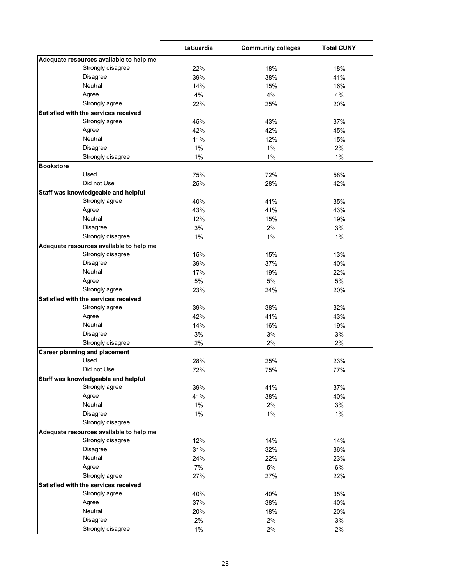|                                                              | LaGuardia | <b>Community colleges</b> | <b>Total CUNY</b> |
|--------------------------------------------------------------|-----------|---------------------------|-------------------|
| Adequate resources available to help me                      |           |                           |                   |
| Strongly disagree                                            | 22%       | 18%                       | 18%               |
| Disagree                                                     | 39%       | 38%                       | 41%               |
| Neutral                                                      | 14%       | 15%                       | 16%               |
| Agree                                                        | 4%        | 4%                        | 4%                |
| Strongly agree                                               | 22%       | 25%                       | 20%               |
| Satisfied with the services received                         |           |                           |                   |
| Strongly agree                                               | 45%       | 43%                       | 37%               |
| Agree                                                        | 42%       | 42%                       | 45%               |
| Neutral                                                      | 11%       | 12%                       | 15%               |
| Disagree                                                     | 1%        | 1%                        | 2%                |
| Strongly disagree                                            | 1%        | 1%                        | 1%                |
| <b>Bookstore</b>                                             |           |                           |                   |
| Used                                                         | 75%       | 72%                       | 58%               |
| Did not Use                                                  | 25%       | 28%                       | 42%               |
| Staff was knowledgeable and helpful                          |           |                           |                   |
| Strongly agree                                               | 40%       | 41%                       | 35%               |
| Agree                                                        | 43%       | 41%                       | 43%               |
| <b>Neutral</b>                                               | 12%       | 15%                       | 19%               |
| <b>Disagree</b>                                              | 3%        | 2%                        | 3%                |
| Strongly disagree                                            | 1%        | 1%                        | 1%                |
| Adequate resources available to help me                      |           |                           |                   |
| Strongly disagree                                            | 15%       | 15%                       | 13%               |
| Disagree                                                     | 39%       | 37%                       | 40%               |
| Neutral                                                      | 17%       | 19%                       | 22%               |
| Agree                                                        | 5%        | 5%                        | 5%                |
| Strongly agree                                               | 23%       | 24%                       | 20%               |
| Satisfied with the services received                         |           |                           |                   |
| Strongly agree                                               | 39%       | 38%                       | 32%               |
| Agree                                                        | 42%       | 41%                       | 43%               |
| Neutral                                                      | 14%       | 16%                       | 19%               |
| Disagree                                                     | 3%        | 3%                        | 3%                |
| Strongly disagree                                            | 2%        | 2%                        | 2%                |
| <b>Career planning and placement</b>                         |           |                           |                   |
| Used                                                         | 28%       | 25%                       | 23%               |
| Did not Use                                                  | 72%       | 75%                       | 77%               |
| Staff was knowledgeable and helpful                          |           |                           |                   |
| Strongly agree                                               | 39%       | 41%                       | 37%               |
| Agree                                                        | 41%       | 38%                       | 40%               |
| Neutral                                                      | 1%        | 2%                        | 3%                |
| <b>Disagree</b>                                              | 1%        | 1%                        | 1%                |
| Strongly disagree                                            |           |                           |                   |
|                                                              |           |                           |                   |
| Adequate resources available to help me<br>Strongly disagree |           |                           |                   |
|                                                              | 12%       | 14%                       | 14%               |
| Disagree<br>Neutral                                          | 31%       | 32%                       | 36%               |
|                                                              | 24%       | 22%                       | 23%               |
| Agree                                                        | 7%        | 5%                        | 6%                |
| Strongly agree                                               | 27%       | 27%                       | 22%               |
| Satisfied with the services received                         |           |                           |                   |
| Strongly agree                                               | 40%       | 40%                       | 35%               |
| Agree                                                        | 37%       | 38%                       | 40%               |
| Neutral                                                      | 20%       | 18%                       | 20%               |
| Disagree                                                     | 2%        | 2%                        | 3%                |
| Strongly disagree                                            | $1\%$     | 2%                        | 2%                |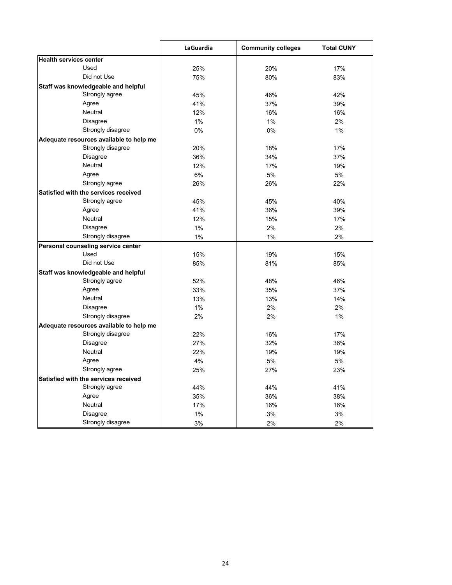|                                         | LaGuardia | <b>Community colleges</b> | <b>Total CUNY</b> |
|-----------------------------------------|-----------|---------------------------|-------------------|
| <b>Health services center</b>           |           |                           |                   |
| Used                                    | 25%       | 20%                       | 17%               |
| Did not Use                             | 75%       | 80%                       | 83%               |
| Staff was knowledgeable and helpful     |           |                           |                   |
| Strongly agree                          | 45%       | 46%                       | 42%               |
| Agree                                   | 41%       | 37%                       | 39%               |
| <b>Neutral</b>                          | 12%       | 16%                       | 16%               |
| <b>Disagree</b>                         | 1%        | 1%                        | 2%                |
| Strongly disagree                       | 0%        | 0%                        | $1\%$             |
| Adequate resources available to help me |           |                           |                   |
| Strongly disagree                       | 20%       | 18%                       | 17%               |
| <b>Disagree</b>                         | 36%       | 34%                       | 37%               |
| Neutral                                 | 12%       | 17%                       | 19%               |
| Agree                                   | 6%        | 5%                        | 5%                |
| Strongly agree                          | 26%       | 26%                       | 22%               |
| Satisfied with the services received    |           |                           |                   |
| Strongly agree                          | 45%       | 45%                       | 40%               |
| Agree                                   | 41%       | 36%                       | 39%               |
| Neutral                                 | 12%       | 15%                       | 17%               |
| <b>Disagree</b>                         | 1%        | 2%                        | 2%                |
| Strongly disagree                       | 1%        | 1%                        | 2%                |
| Personal counseling service center      |           |                           |                   |
| Used                                    | 15%       | 19%                       | 15%               |
| Did not Use                             | 85%       | 81%                       | 85%               |
| Staff was knowledgeable and helpful     |           |                           |                   |
| Strongly agree                          | 52%       | 48%                       | 46%               |
| Agree                                   | 33%       | 35%                       | 37%               |
| Neutral                                 | 13%       | 13%                       | 14%               |
| <b>Disagree</b>                         | 1%        | 2%                        | 2%                |
| Strongly disagree                       | 2%        | 2%                        | 1%                |
| Adequate resources available to help me |           |                           |                   |
| Strongly disagree                       | 22%       | 16%                       | 17%               |
| <b>Disagree</b>                         | 27%       | 32%                       | 36%               |
| <b>Neutral</b>                          | 22%       | 19%                       | 19%               |
| Agree                                   | 4%        | 5%                        | 5%                |
| Strongly agree                          | 25%       | 27%                       | 23%               |
| Satisfied with the services received    |           |                           |                   |
| Strongly agree                          | 44%       | 44%                       | 41%               |
| Agree                                   | 35%       | 36%                       | 38%               |
| Neutral                                 | 17%       | 16%                       | 16%               |
| <b>Disagree</b>                         | 1%        | 3%                        | 3%                |
| Strongly disagree                       | 3%        | 2%                        | 2%                |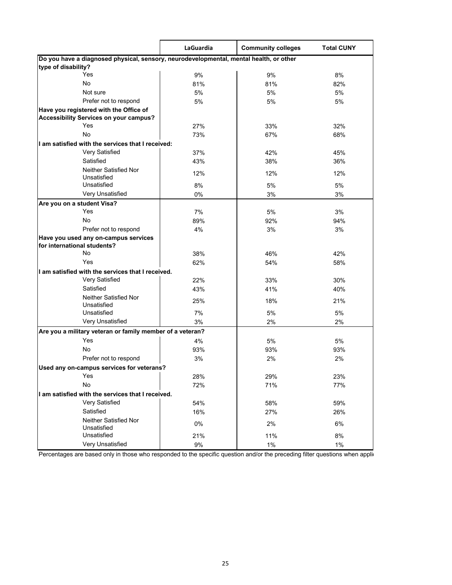|                                                                                        | LaGuardia | <b>Community colleges</b> | <b>Total CUNY</b> |  |
|----------------------------------------------------------------------------------------|-----------|---------------------------|-------------------|--|
| Do you have a diagnosed physical, sensory, neurodevelopmental, mental health, or other |           |                           |                   |  |
| type of disability?                                                                    |           |                           |                   |  |
| Yes                                                                                    | 9%        | 9%                        | 8%                |  |
| No                                                                                     | 81%       | 81%                       | 82%               |  |
| Not sure                                                                               | 5%        | 5%                        | 5%                |  |
| Prefer not to respond                                                                  | 5%        | 5%                        | 5%                |  |
| Have you registered with the Office of                                                 |           |                           |                   |  |
| <b>Accessibility Services on your campus?</b>                                          |           |                           |                   |  |
| Yes                                                                                    | 27%       | 33%                       | 32%               |  |
| No                                                                                     | 73%       | 67%                       | 68%               |  |
| I am satisfied with the services that I received:                                      |           |                           |                   |  |
| Very Satisfied                                                                         | 37%       | 42%                       | 45%               |  |
| Satisfied                                                                              | 43%       | 38%                       | 36%               |  |
| <b>Neither Satisfied Nor</b>                                                           | 12%       | 12%                       | 12%               |  |
| Unsatisfied                                                                            |           |                           |                   |  |
| Unsatisfied                                                                            | 8%        | 5%                        | 5%                |  |
| Very Unsatisfied                                                                       | 0%        | 3%                        | 3%                |  |
| Are you on a student Visa?                                                             |           |                           |                   |  |
| Yes                                                                                    | 7%        | 5%                        | 3%                |  |
| No                                                                                     | 89%       | 92%                       | 94%               |  |
| Prefer not to respond                                                                  | 4%        | 3%                        | 3%                |  |
| Have you used any on-campus services                                                   |           |                           |                   |  |
| for international students?                                                            |           |                           |                   |  |
| No                                                                                     | 38%       | 46%                       | 42%               |  |
| Yes                                                                                    | 62%       | 54%                       | 58%               |  |
| I am satisfied with the services that I received.                                      |           |                           |                   |  |
| Very Satisfied                                                                         | 22%       | 33%                       | 30%               |  |
| Satisfied                                                                              | 43%       | 41%                       | 40%               |  |
| <b>Neither Satisfied Nor</b>                                                           | 25%       | 18%                       | 21%               |  |
| Unsatisfied                                                                            |           |                           |                   |  |
| Unsatisfied                                                                            | 7%        | 5%                        | 5%                |  |
| Very Unsatisfied                                                                       | 3%        | 2%                        | 2%                |  |
| Are you a military veteran or family member of a veteran?                              |           |                           |                   |  |
| Yes                                                                                    | 4%        | 5%                        | 5%                |  |
| No                                                                                     | 93%       | 93%                       | 93%               |  |
| Prefer not to respond                                                                  | 3%        | 2%                        | 2%                |  |
| Used any on-campus services for veterans?                                              |           |                           |                   |  |
| Yes                                                                                    | 28%       | 29%                       | 23%               |  |
| No                                                                                     | 72%       | 71%                       | 77%               |  |
| I am satisfied with the services that I received.                                      |           |                           |                   |  |
| Very Satisfied                                                                         | 54%       | 58%                       | 59%               |  |
| Satisfied                                                                              | 16%       | 27%                       | 26%               |  |
| Neither Satisfied Nor                                                                  |           |                           |                   |  |
| Unsatisfied                                                                            | 0%        | 2%                        | 6%                |  |
| Unsatisfied                                                                            | 21%       | 11%                       | 8%                |  |
| Very Unsatisfied                                                                       | 9%        | 1%                        | 1%                |  |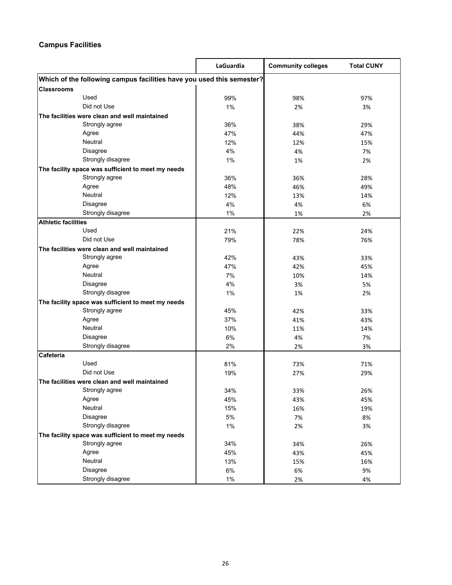## **Campus Facilities**

|                                                                       | LaGuardia | <b>Community colleges</b> | <b>Total CUNY</b> |  |
|-----------------------------------------------------------------------|-----------|---------------------------|-------------------|--|
| Which of the following campus facilities have you used this semester? |           |                           |                   |  |
| Classrooms                                                            |           |                           |                   |  |
| Used                                                                  | 99%       | 98%                       | 97%               |  |
| Did not Use                                                           | 1%        | 2%                        | 3%                |  |
| The facilities were clean and well maintained                         |           |                           |                   |  |
| Strongly agree                                                        | 36%       | 38%                       | 29%               |  |
| Agree                                                                 | 47%       | 44%                       | 47%               |  |
| Neutral                                                               | 12%       | 12%                       | 15%               |  |
| Disagree                                                              | 4%        | 4%                        | 7%                |  |
| Strongly disagree                                                     | 1%        | 1%                        | 2%                |  |
| The facility space was sufficient to meet my needs                    |           |                           |                   |  |
| Strongly agree                                                        | 36%       | 36%                       | 28%               |  |
| Agree                                                                 | 48%       | 46%                       | 49%               |  |
| Neutral                                                               | 12%       | 13%                       | 14%               |  |
| Disagree                                                              | 4%        | 4%                        | 6%                |  |
| Strongly disagree                                                     | 1%        | 1%                        | 2%                |  |
| <b>Athletic facilities</b>                                            |           |                           |                   |  |
| Used                                                                  | 21%       | 22%                       | 24%               |  |
| Did not Use                                                           | 79%       | 78%                       | 76%               |  |
| The facilities were clean and well maintained                         |           |                           |                   |  |
| Strongly agree                                                        | 42%       | 43%                       | 33%               |  |
| Agree                                                                 | 47%       | 42%                       | 45%               |  |
| Neutral                                                               | 7%        | 10%                       | 14%               |  |
| Disagree                                                              | 4%        | 3%                        | 5%                |  |
| Strongly disagree                                                     | 1%        | 1%                        | 2%                |  |
| The facility space was sufficient to meet my needs                    |           |                           |                   |  |
| Strongly agree                                                        | 45%       | 42%                       | 33%               |  |
| Agree                                                                 | 37%       | 41%                       | 43%               |  |
| Neutral                                                               | 10%       | 11%                       | 14%               |  |
| Disagree                                                              | 6%        | 4%                        | 7%                |  |
| Strongly disagree                                                     | 2%        | 2%                        | 3%                |  |
| Cafeteria                                                             |           |                           |                   |  |
| Used                                                                  | 81%       | 73%                       | 71%               |  |
| Did not Use                                                           | 19%       | 27%                       | 29%               |  |
| The facilities were clean and well maintained                         |           |                           |                   |  |
| Strongly agree                                                        | 34%       | 33%                       | 26%               |  |
| Agree                                                                 | 45%       | 43%                       | 45%               |  |
| Neutral                                                               | 15%       | 16%                       | 19%               |  |
| Disagree                                                              | $5\%$     | 7%                        | 8%                |  |
| Strongly disagree                                                     | $1\%$     | 2%                        | 3%                |  |
| The facility space was sufficient to meet my needs                    |           |                           |                   |  |
| Strongly agree                                                        | 34%       | 34%                       | 26%               |  |
| Agree                                                                 | 45%       | 43%                       | 45%               |  |
| Neutral                                                               | 13%       | 15%                       | 16%               |  |
| Disagree                                                              | $6\%$     | 6%                        | 9%                |  |
| Strongly disagree                                                     | $1\%$     | 2%                        | 4%                |  |